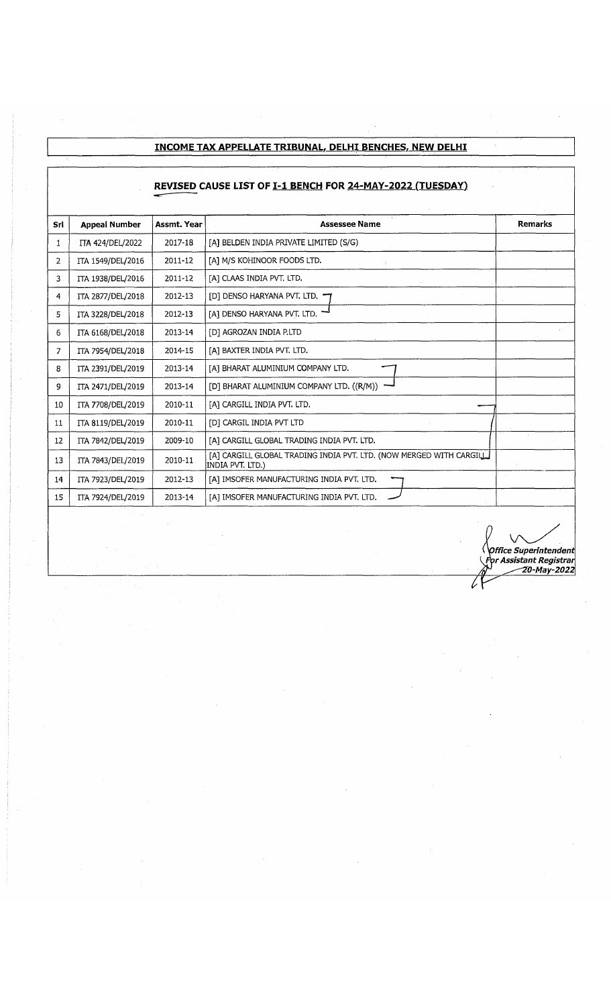## **INCOME TAX APPELLATE TRIBUNAL. DELHI BENCHES, NEW DELHI**

## REVISED CAUSE LIST OF **I-1 BENCH FOR 24-MAY-2022 (TUESDAY)**

| Srl            | <b>Appeal Number</b> | Assmt. Year | <b>Assessee Name</b>                                                                    | <b>Remarks</b> |
|----------------|----------------------|-------------|-----------------------------------------------------------------------------------------|----------------|
| 1 <sup>1</sup> | ITA 424/DEL/2022     | 2017-18     | [A] BELDEN INDIA PRIVATE LIMITED (S/G)                                                  |                |
| 2              | ITA 1549/DEL/2016    | 2011-12     | [A] M/S KOHINOOR FOODS LTD.                                                             |                |
| 3              | ITA 1938/DEL/2016    | 2011-12     | [A] CLAAS INDIA PVT. LTD.                                                               |                |
| 4              | ITA 2877/DEL/2018    | 2012-13     | [D] DENSO HARYANA PVT. LTD.                                                             |                |
| 5              | ITA 3228/DEL/2018    | 2012-13     | [A] DENSO HARYANA PVT. LTD.                                                             |                |
| 6              | ITA 6168/DEL/2018    | 2013-14     | [D] AGROZAN INDIA P.LTD                                                                 |                |
| 7              | ITA 7954/DEL/2018    | 2014-15     | [A] BAXTER INDIA PVT. LTD.                                                              |                |
| 8              | ITA 2391/DEL/2019    | 2013-14     | [A] BHARAT ALUMINIUM COMPANY LTD.                                                       |                |
| 9              | ITA 2471/DEL/2019    | 2013-14     | [D] BHARAT ALUMINIUM COMPANY LTD. ((R/M))                                               |                |
| 10             | ITA 7708/DEL/2019    | 2010-11     | [a] Cargill India PVT. LTD.                                                             |                |
| 11             | ITA 8119/DEL/2019    | 2010-11     | [D] CARGIL INDIA PVT LTD                                                                |                |
| 12             | ITA 7842/DEL/2019    | 2009-10     | [A] CARGILL GLOBAL TRADING INDIA PVT. LTD.                                              |                |
| 13             | ITA 7843/DEL/2019    | 2010-11     | [A] CARGILL GLOBAL TRADING INDIA PVT. LTD. (NOW MERGED WITH CARGILL<br>INDIA PVT, LTD.) |                |
| 14             | ITA 7923/DEL/2019    | 2012-13     | [A] IMSOFER MANUFACTURING INDIA PVT. LTD.                                               |                |
| 15             | ITA 7924/DEL/2019    | 2013-14     | [A] IMSOFER MANUFACTURING INDIA PVT. LTD.                                               |                |
|                |                      |             |                                                                                         |                |

■ *H ^ ('O ffice Superintendent {iF tir Assistant Registrar <i>&* 20-May-2022

7